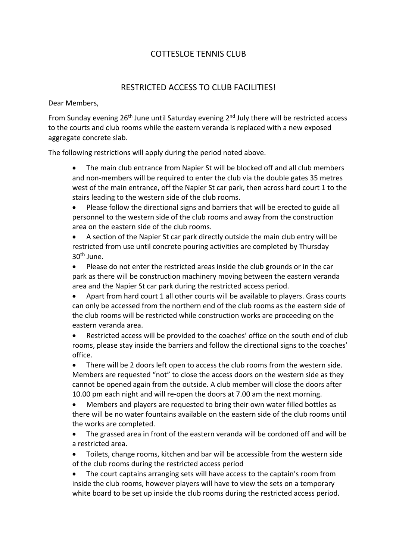## COTTESLOE TENNIS CLUB

## RESTRICTED ACCESS TO CLUB FACILITIES!

Dear Members,

From Sunday evening  $26<sup>th</sup>$  June until Saturday evening  $2<sup>nd</sup>$  July there will be restricted access to the courts and club rooms while the eastern veranda is replaced with a new exposed aggregate concrete slab.

The following restrictions will apply during the period noted above.

• The main club entrance from Napier St will be blocked off and all club members and non-members will be required to enter the club via the double gates 35 metres west of the main entrance, off the Napier St car park, then across hard court 1 to the stairs leading to the western side of the club rooms.

• Please follow the directional signs and barriers that will be erected to guide all personnel to the western side of the club rooms and away from the construction area on the eastern side of the club rooms.

• A section of the Napier St car park directly outside the main club entry will be restricted from use until concrete pouring activities are completed by Thursday 30th June.

• Please do not enter the restricted areas inside the club grounds or in the car park as there will be construction machinery moving between the eastern veranda area and the Napier St car park during the restricted access period.

• Apart from hard court 1 all other courts will be available to players. Grass courts can only be accessed from the northern end of the club rooms as the eastern side of the club rooms will be restricted while construction works are proceeding on the eastern veranda area.

Restricted access will be provided to the coaches' office on the south end of club rooms, please stay inside the barriers and follow the directional signs to the coaches' office.

There will be 2 doors left open to access the club rooms from the western side. Members are requested "not" to close the access doors on the western side as they cannot be opened again from the outside. A club member will close the doors after 10.00 pm each night and will re-open the doors at 7.00 am the next morning.

• Members and players are requested to bring their own water filled bottles as there will be no water fountains available on the eastern side of the club rooms until the works are completed.

• The grassed area in front of the eastern veranda will be cordoned off and will be a restricted area.

• Toilets, change rooms, kitchen and bar will be accessible from the western side of the club rooms during the restricted access period

• The court captains arranging sets will have access to the captain's room from inside the club rooms, however players will have to view the sets on a temporary white board to be set up inside the club rooms during the restricted access period.